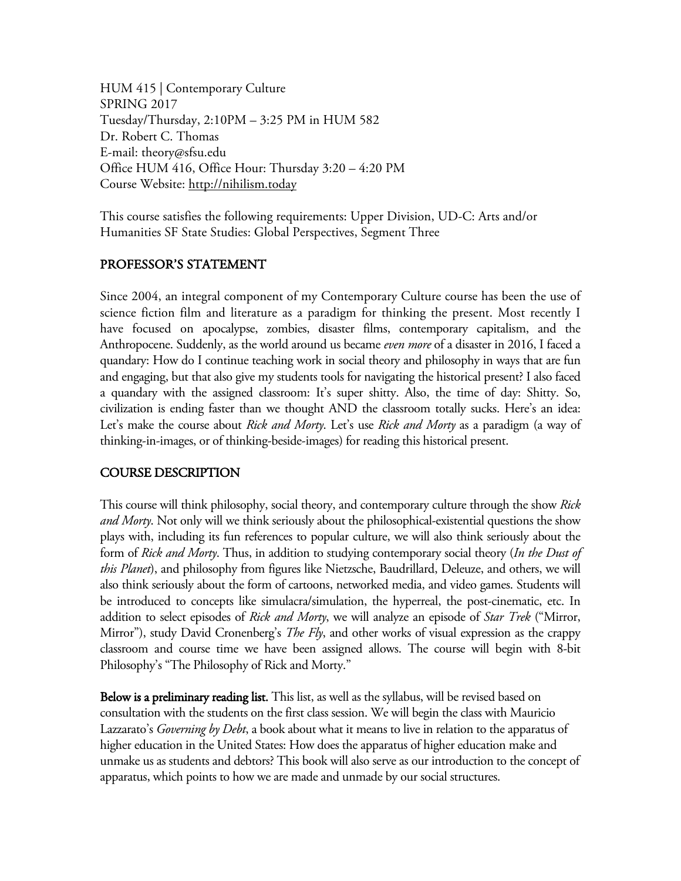HUM 415 | Contemporary Culture SPRING 2017 Tuesday/Thursday, 2:10PM – 3:25 PM in HUM 582 Dr. Robert C. Thomas E-mail: theory@sfsu.edu Office HUM 416, Office Hour: Thursday 3:20 – 4:20 PM Course Website: http://nihilism.today

This course satisfies the following requirements: Upper Division, UD-C: Arts and/or Humanities SF State Studies: Global Perspectives, Segment Three

### PROFESSOR'S STATEMENT

Since 2004, an integral component of my Contemporary Culture course has been the use of science fiction film and literature as a paradigm for thinking the present. Most recently I have focused on apocalypse, zombies, disaster films, contemporary capitalism, and the Anthropocene. Suddenly, as the world around us became *even more* of a disaster in 2016, I faced a quandary: How do I continue teaching work in social theory and philosophy in ways that are fun and engaging, but that also give my students tools for navigating the historical present? I also faced a quandary with the assigned classroom: It's super shitty. Also, the time of day: Shitty. So, civilization is ending faster than we thought AND the classroom totally sucks. Here's an idea: Let's make the course about *Rick and Morty*. Let's use *Rick and Morty* as a paradigm (a way of thinking-in-images, or of thinking-beside-images) for reading this historical present.

# COURSE DESCRIPTION

This course will think philosophy, social theory, and contemporary culture through the show *Rick and Morty*. Not only will we think seriously about the philosophical-existential questions the show plays with, including its fun references to popular culture, we will also think seriously about the form of *Rick and Morty*. Thus, in addition to studying contemporary social theory (*In the Dust of this Planet*), and philosophy from figures like Nietzsche, Baudrillard, Deleuze, and others, we will also think seriously about the form of cartoons, networked media, and video games. Students will be introduced to concepts like simulacra/simulation, the hyperreal, the post-cinematic, etc. In addition to select episodes of *Rick and Morty*, we will analyze an episode of *Star Trek* ("Mirror, Mirror"), study David Cronenberg's *The Fly*, and other works of visual expression as the crappy classroom and course time we have been assigned allows. The course will begin with 8-bit Philosophy's "The Philosophy of Rick and Morty."

Below is a preliminary reading list. This list, as well as the syllabus, will be revised based on consultation with the students on the first class session. We will begin the class with Mauricio Lazzarato's *Governing by Debt*, a book about what it means to live in relation to the apparatus of higher education in the United States: How does the apparatus of higher education make and unmake us as students and debtors? This book will also serve as our introduction to the concept of apparatus, which points to how we are made and unmade by our social structures.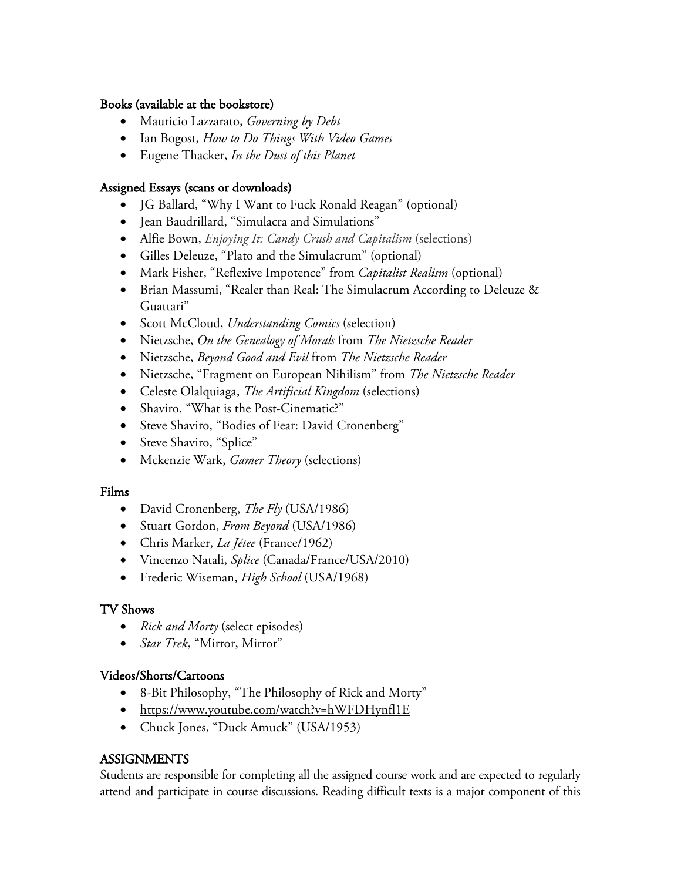### Books (available at the bookstore)

- Mauricio Lazzarato, *Governing by Debt*
- Ian Bogost, *How to Do Things With Video Games*
- Eugene Thacker, *In the Dust of this Planet*

## Assigned Essays (scans or downloads)

- JG Ballard, "Why I Want to Fuck Ronald Reagan" (optional)
- Jean Baudrillard, "Simulacra and Simulations"
- Alfie Bown, *Enjoying It: Candy Crush and Capitalism* (selections)
- Gilles Deleuze, "Plato and the Simulacrum" (optional)
- Mark Fisher, "Reflexive Impotence" from *Capitalist Realism* (optional)
- Brian Massumi, "Realer than Real: The Simulacrum According to Deleuze & Guattari"
- Scott McCloud, *Understanding Comics* (selection)
- Nietzsche, *On the Genealogy of Morals* from *The Nietzsche Reader*
- Nietzsche, *Beyond Good and Evil* from *The Nietzsche Reader*
- Nietzsche, "Fragment on European Nihilism" from *The Nietzsche Reader*
- Celeste Olalquiaga, *The Artificial Kingdom* (selections)
- Shaviro, "What is the Post-Cinematic?"
- Steve Shaviro, "Bodies of Fear: David Cronenberg"
- Steve Shaviro, "Splice"
- Mckenzie Wark, *Gamer Theory* (selections)

### Films

- David Cronenberg, *The Fly* (USA/1986)
- Stuart Gordon, *From Beyond* (USA/1986)
- Chris Marker, *La Jétee* (France/1962)
- Vincenzo Natali, *Splice* (Canada/France/USA/2010)
- Frederic Wiseman, *High School* (USA/1968)

# TV Shows

- *Rick and Morty* (select episodes)
- *Star Trek*, "Mirror, Mirror"

# Videos/Shorts/Cartoons

- 8-Bit Philosophy, "The Philosophy of Rick and Morty"
- https://www.youtube.com/watch?v=hWFDHynfl1E
- Chuck Jones, "Duck Amuck" (USA/1953)

# **ASSIGNMENTS**

Students are responsible for completing all the assigned course work and are expected to regularly attend and participate in course discussions. Reading difficult texts is a major component of this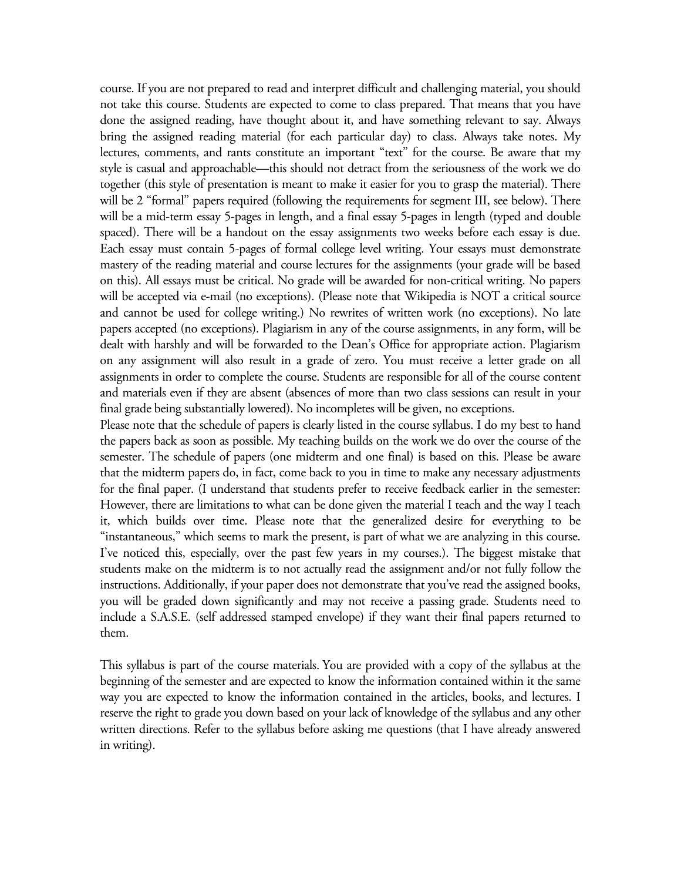course. If you are not prepared to read and interpret difficult and challenging material, you should not take this course. Students are expected to come to class prepared. That means that you have done the assigned reading, have thought about it, and have something relevant to say. Always bring the assigned reading material (for each particular day) to class. Always take notes. My lectures, comments, and rants constitute an important "text" for the course. Be aware that my style is casual and approachable—this should not detract from the seriousness of the work we do together (this style of presentation is meant to make it easier for you to grasp the material). There will be 2 "formal" papers required (following the requirements for segment III, see below). There will be a mid-term essay 5-pages in length, and a final essay 5-pages in length (typed and double spaced). There will be a handout on the essay assignments two weeks before each essay is due. Each essay must contain 5-pages of formal college level writing. Your essays must demonstrate mastery of the reading material and course lectures for the assignments (your grade will be based on this). All essays must be critical. No grade will be awarded for non-critical writing. No papers will be accepted via e-mail (no exceptions). (Please note that Wikipedia is NOT a critical source and cannot be used for college writing.) No rewrites of written work (no exceptions). No late papers accepted (no exceptions). Plagiarism in any of the course assignments, in any form, will be dealt with harshly and will be forwarded to the Dean's Office for appropriate action. Plagiarism on any assignment will also result in a grade of zero. You must receive a letter grade on all assignments in order to complete the course. Students are responsible for all of the course content and materials even if they are absent (absences of more than two class sessions can result in your final grade being substantially lowered). No incompletes will be given, no exceptions.

Please note that the schedule of papers is clearly listed in the course syllabus. I do my best to hand the papers back as soon as possible. My teaching builds on the work we do over the course of the semester. The schedule of papers (one midterm and one final) is based on this. Please be aware that the midterm papers do, in fact, come back to you in time to make any necessary adjustments for the final paper. (I understand that students prefer to receive feedback earlier in the semester: However, there are limitations to what can be done given the material I teach and the way I teach it, which builds over time. Please note that the generalized desire for everything to be "instantaneous," which seems to mark the present, is part of what we are analyzing in this course. I've noticed this, especially, over the past few years in my courses.). The biggest mistake that students make on the midterm is to not actually read the assignment and/or not fully follow the instructions. Additionally, if your paper does not demonstrate that you've read the assigned books, you will be graded down significantly and may not receive a passing grade. Students need to include a S.A.S.E. (self addressed stamped envelope) if they want their final papers returned to them.

This syllabus is part of the course materials. You are provided with a copy of the syllabus at the beginning of the semester and are expected to know the information contained within it the same way you are expected to know the information contained in the articles, books, and lectures. I reserve the right to grade you down based on your lack of knowledge of the syllabus and any other written directions. Refer to the syllabus before asking me questions (that I have already answered in writing).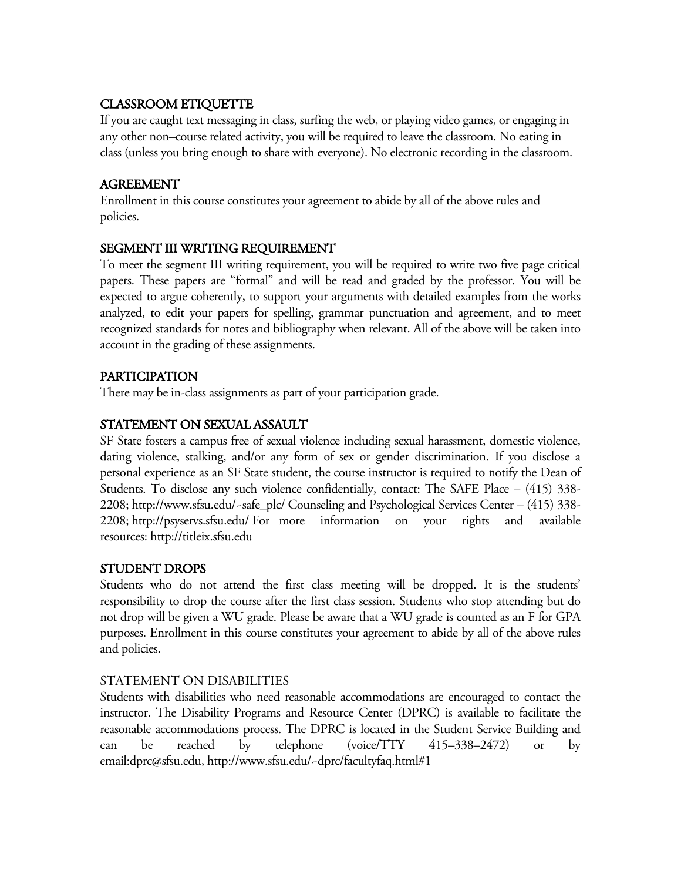# CLASSROOM ETIQUETTE

If you are caught text messaging in class, surfing the web, or playing video games, or engaging in any other non–course related activity, you will be required to leave the classroom. No eating in class (unless you bring enough to share with everyone). No electronic recording in the classroom.

# AGREEMENT

Enrollment in this course constitutes your agreement to abide by all of the above rules and policies.

# SEGMENT III WRITING REQUIREMENT

To meet the segment III writing requirement, you will be required to write two five page critical papers. These papers are "formal" and will be read and graded by the professor. You will be expected to argue coherently, to support your arguments with detailed examples from the works analyzed, to edit your papers for spelling, grammar punctuation and agreement, and to meet recognized standards for notes and bibliography when relevant. All of the above will be taken into account in the grading of these assignments.

# PARTICIPATION

There may be in-class assignments as part of your participation grade.

# STATEMENT ON SEXUAL ASSAULT

SF State fosters a campus free of sexual violence including sexual harassment, domestic violence, dating violence, stalking, and/or any form of sex or gender discrimination. If you disclose a personal experience as an SF State student, the course instructor is required to notify the Dean of Students. To disclose any such violence confidentially, contact: The SAFE Place – (415) 338- 2208; http://www.sfsu.edu/~safe\_plc/ Counseling and Psychological Services Center – (415) 338- 2208; http://psyservs.sfsu.edu/ For more information on your rights and available resources: http://titleix.sfsu.edu

# STUDENT DROPS

Students who do not attend the first class meeting will be dropped. It is the students' responsibility to drop the course after the first class session. Students who stop attending but do not drop will be given a WU grade. Please be aware that a WU grade is counted as an F for GPA purposes. Enrollment in this course constitutes your agreement to abide by all of the above rules and policies.

# STATEMENT ON DISABILITIES

Students with disabilities who need reasonable accommodations are encouraged to contact the instructor. The Disability Programs and Resource Center (DPRC) is available to facilitate the reasonable accommodations process. The DPRC is located in the Student Service Building and can be reached by telephone (voice/TTY 415–338–2472) or by email:dprc@sfsu.edu, http://www.sfsu.edu/~dprc/facultyfaq.html#1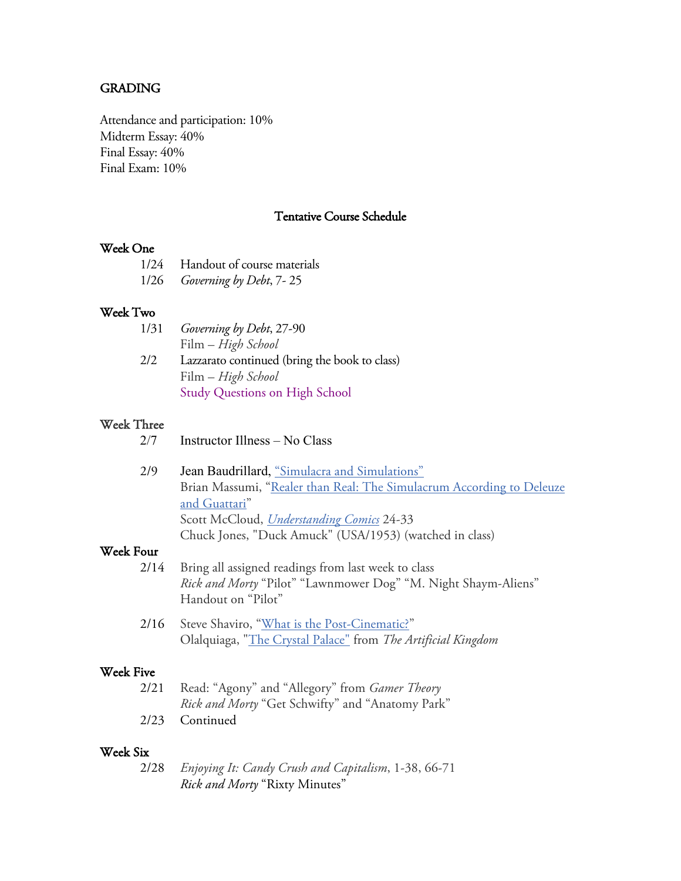### GRADING

Attendance and participation: 10% Midterm Essay: 40% Final Essay: 40% Final Exam: 10%

### Tentative Course Schedule

#### Week One

| 1/24 Handout of course materials |
|----------------------------------|
| 1/26 Governing by Debt, 7-25     |

#### Week Two

| 1/31 | Governing by Debt, 27-90                      |
|------|-----------------------------------------------|
|      | Film – High School                            |
| 2/2  | Lazzarato continued (bring the book to class) |
|      | Film – High School                            |
|      | <b>Study Questions on High School</b>         |

#### Week Three

| 2/7<br>Instructor Illness – No Class |  |
|--------------------------------------|--|
|--------------------------------------|--|

2/9 Jean Baudrillard, "Simulacra and Simulations" Brian Massumi, "Realer than Real: The Simulacrum According to Deleuze and Guattari" Scott McCloud, *Understanding Comics* 24-33 Chuck Jones, "Duck Amuck" (USA/1953) (watched in class)

# Week Four

- 2/14 Bring all assigned readings from last week to class *Rick and Morty* "Pilot" "Lawnmower Dog" "M. Night Shaym-Aliens" Handout on "Pilot"
- 2/16 Steve Shaviro, "What is the Post-Cinematic?" Olalquiaga, "The Crystal Palace" from *The Artificial Kingdom*

#### Week Five

| 2/21 Read: "Agony" and "Allegory" from <i>Gamer Theory</i> |
|------------------------------------------------------------|
| <i>Rick and Morty</i> "Get Schwifty" and "Anatomy Park"    |
| 2/23 Continued                                             |

#### Week Six

| 2/28 | Enjoying It: Candy Crush and Capitalism, 1-38, 66-71 |
|------|------------------------------------------------------|
|      | <i>Rick and Morty</i> "Rixty Minutes"                |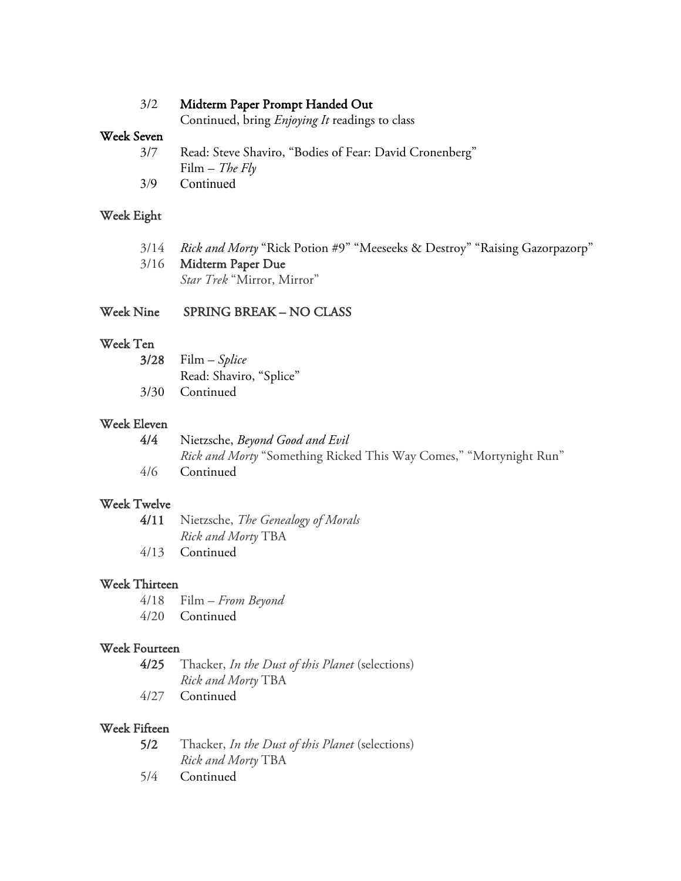### 3/2 Midterm Paper Prompt Handed Out

Continued, bring *Enjoying It* readings to class

# Week Seven

3/7 Read: Steve Shaviro, "Bodies of Fear: David Cronenberg" Film – *The Fly* 3/9 Continued

### Week Eight

| 3/14 Rick and Morty "Rick Potion #9" "Meeseeks & Destroy" "Raising Gazorpazorp" |
|---------------------------------------------------------------------------------|
| 3/16 Midterm Paper Due                                                          |
| <i>Star Trek</i> "Mirror, Mirror"                                               |

### Week Nine SPRING BREAK – NO CLASS

# Week Ten

| $3/28$ Film – Splice    |
|-------------------------|
| Read: Shaviro, "Splice" |
| 3/30 Continued          |

### Week Eleven

| 4/4 | Nietzsche, <i>Beyond Good and Evil</i>                             |
|-----|--------------------------------------------------------------------|
|     | Rick and Morty "Something Ricked This Way Comes," "Mortynight Run" |
| 4/6 | <b>Continued</b>                                                   |

# Week Twelve

|              | 4/11 Nietzsche, The Genealogy of Morals |
|--------------|-----------------------------------------|
|              | Rick and Morty TBA                      |
| $\sqrt{112}$ | $\sim$ $\sim$ $\sim$                    |

4/13 Continued

### Week Thirteen

4/18 Film – *From Beyond* 4/20 Continued

### Week Fourteen

4/25 Thacker, *In the Dust of this Planet* (selections) *Rick and Morty* TBA

4/27 Continued

#### Week Fifteen

| 5/2 | Thacker, In the Dust of this Planet (selections) |
|-----|--------------------------------------------------|
|     | <i>Rick and Morty</i> TBA                        |

5/4 Continued